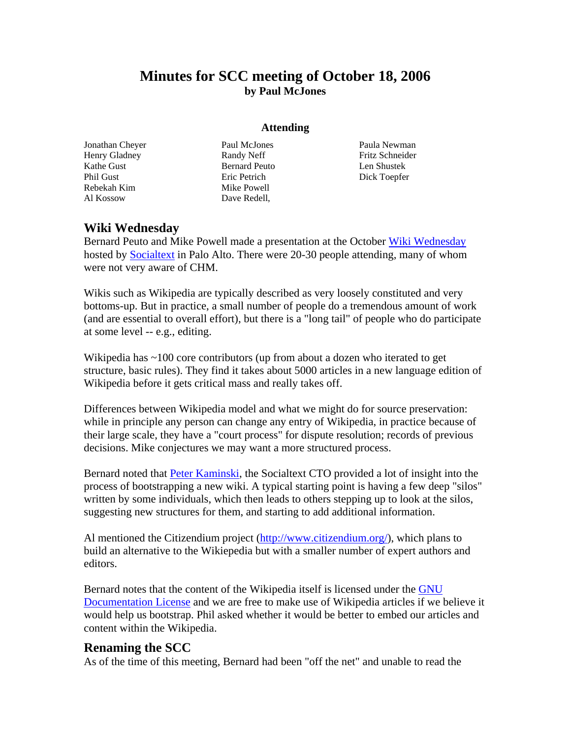# **Minutes for SCC meeting of October 18, 2006 by Paul McJones**

#### **Attending**

Jonathan Cheyer Henry Gladney Kathe Gust Phil Gust Rebekah Kim Al Kossow

Paul McJones Randy Neff Bernard Peuto Eric Petrich Mike Powell Dave Redell,

Paula Newman Fritz Schneider Len Shustek Dick Toepfer

## **Wiki Wednesday**

Bernard Peuto and Mike Powell made a presentation at the October [Wiki Wednesday](http://www.socialtext.net/wikiwed/) hosted by **Socialtext** in Palo Alto. There were 20-30 people attending, many of whom were not very aware of CHM.

Wikis such as Wikipedia are typically described as very loosely constituted and very bottoms-up. But in practice, a small number of people do a tremendous amount of work (and are essential to overall effort), but there is a "long tail" of people who do participate at some level -- e.g., editing.

Wikipedia has ~100 core contributors (up from about a dozen who iterated to get structure, basic rules). They find it takes about 5000 articles in a new language edition of Wikipedia before it gets critical mass and really takes off.

Differences between Wikipedia model and what we might do for source preservation: while in principle any person can change any entry of Wikipedia, in practice because of their large scale, they have a "court process" for dispute resolution; records of previous decisions. Mike conjectures we may want a more structured process.

Bernard noted that [Peter Kaminski,](http://www.socialtext.com/company/peter-kaminski) the Socialtext CTO provided a lot of insight into the process of bootstrapping a new wiki. A typical starting point is having a few deep "silos" written by some individuals, which then leads to others stepping up to look at the silos, suggesting new structures for them, and starting to add additional information.

Al mentioned the Citizendium project [\(http://www.citizendium.org/\)](http://www.citizendium.org/), which plans to build an alternative to the Wikiepedia but with a smaller number of expert authors and editors.

Bernard notes that the content of the Wikipedia itself is licensed under the [GNU](http://en.wikipedia.org/wiki/Wikipedia:Text_of_the_GNU_Free_Documentation_License)  [Documentation License](http://en.wikipedia.org/wiki/Wikipedia:Text_of_the_GNU_Free_Documentation_License) and we are free to make use of Wikipedia articles if we believe it would help us bootstrap. Phil asked whether it would be better to embed our articles and content within the Wikipedia.

#### **Renaming the SCC**

As of the time of this meeting, Bernard had been "off the net" and unable to read the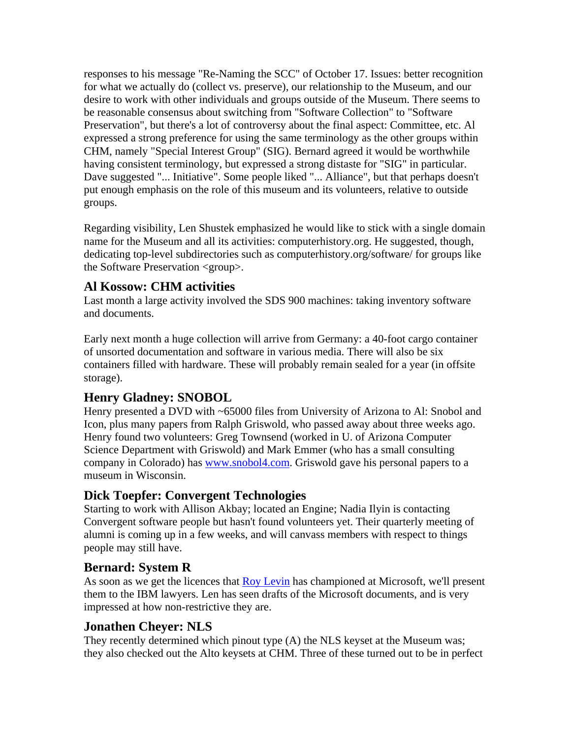responses to his message "Re-Naming the SCC" of October 17. Issues: better recognition for what we actually do (collect vs. preserve), our relationship to the Museum, and our desire to work with other individuals and groups outside of the Museum. There seems to be reasonable consensus about switching from "Software Collection" to "Software Preservation", but there's a lot of controversy about the final aspect: Committee, etc. Al expressed a strong preference for using the same terminology as the other groups within CHM, namely "Special Interest Group" (SIG). Bernard agreed it would be worthwhile having consistent terminology, but expressed a strong distaste for "SIG" in particular. Dave suggested "... Initiative". Some people liked "... Alliance", but that perhaps doesn't put enough emphasis on the role of this museum and its volunteers, relative to outside groups.

Regarding visibility, Len Shustek emphasized he would like to stick with a single domain name for the Museum and all its activities: computerhistory.org. He suggested, though, dedicating top-level subdirectories such as computerhistory.org/software/ for groups like the Software Preservation <group>.

# **Al Kossow: CHM activities**

Last month a large activity involved the SDS 900 machines: taking inventory software and documents.

Early next month a huge collection will arrive from Germany: a 40-foot cargo container of unsorted documentation and software in various media. There will also be six containers filled with hardware. These will probably remain sealed for a year (in offsite storage).

## **Henry Gladney: SNOBOL**

Henry presented a DVD with ~65000 files from University of Arizona to Al: Snobol and Icon, plus many papers from Ralph Griswold, who passed away about three weeks ago. Henry found two volunteers: Greg Townsend (worked in U. of Arizona Computer Science Department with Griswold) and Mark Emmer (who has a small consulting company in Colorado) has [www.snobol4.com.](http://www.snobol4.com/) Griswold gave his personal papers to a museum in Wisconsin.

## **Dick Toepfer: Convergent Technologies**

Starting to work with Allison Akbay; located an Engine; Nadia Ilyin is contacting Convergent software people but hasn't found volunteers yet. Their quarterly meeting of alumni is coming up in a few weeks, and will canvass members with respect to things people may still have.

## **Bernard: System R**

As soon as we get the licences that [Roy Levin](http://research.microsoft.com/users/roylevin/) has championed at Microsoft, we'll present them to the IBM lawyers. Len has seen drafts of the Microsoft documents, and is very impressed at how non-restrictive they are.

## **Jonathen Cheyer: NLS**

They recently determined which pinout type (A) the NLS keyset at the Museum was; they also checked out the Alto keysets at CHM. Three of these turned out to be in perfect